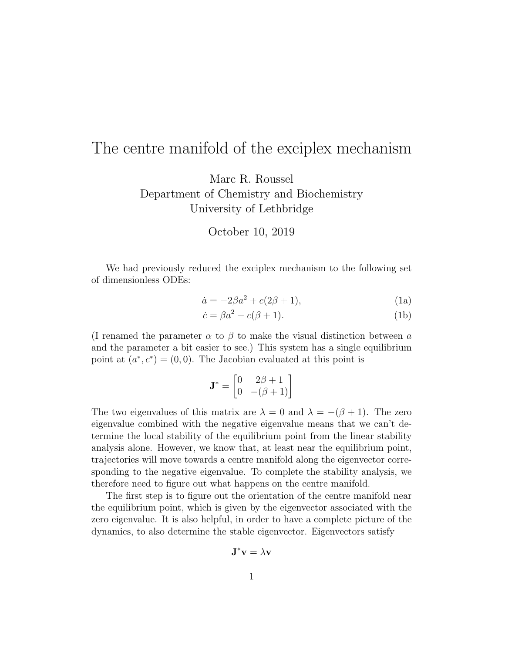## The centre manifold of the exciplex mechanism

Marc R. Roussel Department of Chemistry and Biochemistry University of Lethbridge

October 10, 2019

We had previously reduced the exciplex mechanism to the following set of dimensionless ODEs:

$$
\dot{a} = -2\beta a^2 + c(2\beta + 1),\tag{1a}
$$

$$
\dot{c} = \beta a^2 - c(\beta + 1). \tag{1b}
$$

(I renamed the parameter  $\alpha$  to  $\beta$  to make the visual distinction between a and the parameter a bit easier to see.) This system has a single equilibrium point at  $(a^*, c^*) = (0, 0)$ . The Jacobian evaluated at this point is

$$
\mathbf{J}^* = \begin{bmatrix} 0 & 2\beta + 1 \\ 0 & -(\beta + 1) \end{bmatrix}
$$

The two eigenvalues of this matrix are  $\lambda = 0$  and  $\lambda = -(\beta + 1)$ . The zero eigenvalue combined with the negative eigenvalue means that we can't determine the local stability of the equilibrium point from the linear stability analysis alone. However, we know that, at least near the equilibrium point, trajectories will move towards a centre manifold along the eigenvector corresponding to the negative eigenvalue. To complete the stability analysis, we therefore need to figure out what happens on the centre manifold.

The first step is to figure out the orientation of the centre manifold near the equilibrium point, which is given by the eigenvector associated with the zero eigenvalue. It is also helpful, in order to have a complete picture of the dynamics, to also determine the stable eigenvector. Eigenvectors satisfy

$$
\mathbf{J}^*\mathbf{v} = \lambda \mathbf{v}
$$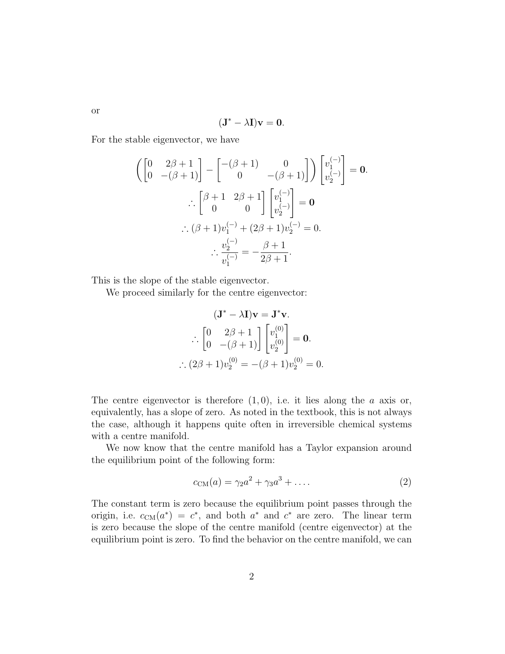$$
(\mathbf{J}^* - \lambda \mathbf{I})\mathbf{v} = 0.
$$

For the stable eigenvector, we have

$$
\begin{aligned}\n\left(\begin{bmatrix}\n0 & 2\beta + 1 \\
0 & -(\beta + 1)\n\end{bmatrix} - \begin{bmatrix}\n-(\beta + 1) & 0 \\
0 & -(\beta + 1)\n\end{bmatrix}\right)\n\begin{bmatrix}\nv_1^{(-)} \\
v_2^{(-)}\n\end{bmatrix} = \mathbf{0} \\
\therefore \left[\begin{bmatrix}\n\beta + 1 & 2\beta + 1 \\
0 & 0\n\end{bmatrix}\n\begin{bmatrix}\nv_1^{(-)} \\
v_2^{(-)}\n\end{bmatrix} = \mathbf{0} \\
\therefore (\beta + 1)v_1^{(-)} + (2\beta + 1)v_2^{(-)} = 0. \\
\therefore \frac{v_2^{(-)}}{v_1^{(-)}} = -\frac{\beta + 1}{2\beta + 1}.\n\end{aligned}
$$

This is the slope of the stable eigenvector.

We proceed similarly for the centre eigenvector:

$$
(\mathbf{J}^* - \lambda \mathbf{I})\mathbf{v} = \mathbf{J}^*\mathbf{v}.
$$

$$
\therefore \begin{bmatrix} 0 & 2\beta + 1 \\ 0 & -(\beta + 1) \end{bmatrix} \begin{bmatrix} v_1^{(0)} \\ v_2^{(0)} \end{bmatrix} = \mathbf{0}.
$$

$$
\therefore (2\beta + 1)v_2^{(0)} = -(\beta + 1)v_2^{(0)} = 0.
$$

The centre eigenvector is therefore  $(1, 0)$ , i.e. it lies along the a axis or, equivalently, has a slope of zero. As noted in the textbook, this is not always the case, although it happens quite often in irreversible chemical systems with a centre manifold.

We now know that the centre manifold has a Taylor expansion around the equilibrium point of the following form:

$$
c_{\text{CM}}(a) = \gamma_2 a^2 + \gamma_3 a^3 + \dots \tag{2}
$$

The constant term is zero because the equilibrium point passes through the origin, i.e.  $c_{\text{CM}}(a^*) = c^*$ , and both  $a^*$  and  $c^*$  are zero. The linear term is zero because the slope of the centre manifold (centre eigenvector) at the equilibrium point is zero. To find the behavior on the centre manifold, we can

or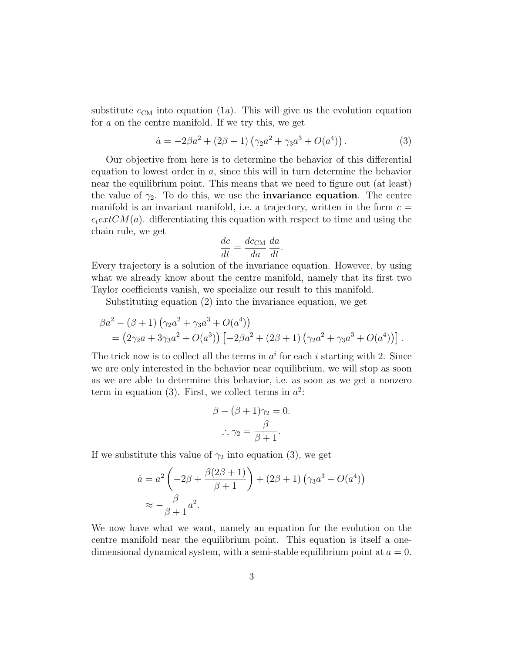substitute  $c_{\text{CM}}$  into equation (1a). This will give us the evolution equation for a on the centre manifold. If we try this, we get

$$
\dot{a} = -2\beta a^2 + (2\beta + 1)\left(\gamma_2 a^2 + \gamma_3 a^3 + O(a^4)\right). \tag{3}
$$

Our objective from here is to determine the behavior of this differential equation to lowest order in a, since this will in turn determine the behavior near the equilibrium point. This means that we need to figure out (at least) the value of  $\gamma_2$ . To do this, we use the **invariance equation**. The centre manifold is an invariant manifold, i.e. a trajectory, written in the form  $c =$  $c_{text}CM(a)$ . differentiating this equation with respect to time and using the chain rule, we get

$$
\frac{dc}{dt} = \frac{dc_{\rm CM}}{da} \frac{da}{dt}.
$$

Every trajectory is a solution of the invariance equation. However, by using what we already know about the centre manifold, namely that its first two Taylor coefficients vanish, we specialize our result to this manifold.

Substituting equation (2) into the invariance equation, we get

$$
\beta a^2 - (\beta + 1) (\gamma_2 a^2 + \gamma_3 a^3 + O(a^4))
$$
  
=  $(2\gamma_2 a + 3\gamma_3 a^2 + O(a^3)) [-2\beta a^2 + (2\beta + 1) (\gamma_2 a^2 + \gamma_3 a^3 + O(a^4))].$ 

The trick now is to collect all the terms in  $a^i$  for each i starting with 2. Since we are only interested in the behavior near equilibrium, we will stop as soon as we are able to determine this behavior, i.e. as soon as we get a nonzero term in equation (3). First, we collect terms in  $a^2$ :

$$
\beta - (\beta + 1)\gamma_2 = 0.
$$

$$
\therefore \gamma_2 = \frac{\beta}{\beta + 1}.
$$

If we substitute this value of  $\gamma_2$  into equation (3), we get

$$
\dot{a} = a^2 \left( -2\beta + \frac{\beta(2\beta + 1)}{\beta + 1} \right) + (2\beta + 1) \left( \gamma_3 a^3 + O(a^4) \right)
$$

$$
\approx -\frac{\beta}{\beta + 1} a^2.
$$

We now have what we want, namely an equation for the evolution on the centre manifold near the equilibrium point. This equation is itself a onedimensional dynamical system, with a semi-stable equilibrium point at  $a = 0$ .